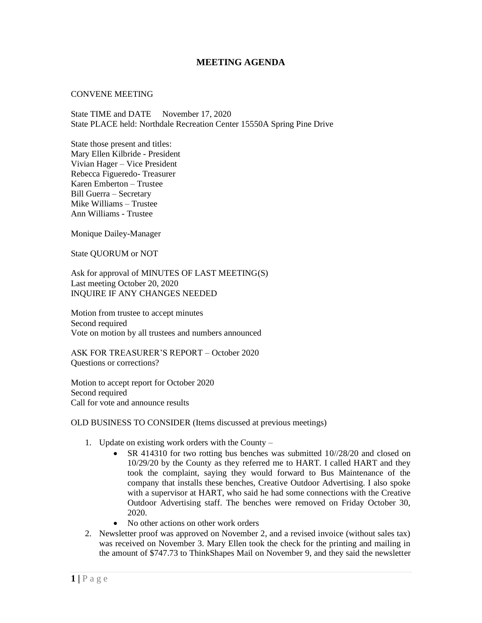## **MEETING AGENDA**

## CONVENE MEETING

State TIME and DATE November 17, 2020 State PLACE held: Northdale Recreation Center 15550A Spring Pine Drive

State those present and titles: Mary Ellen Kilbride - President Vivian Hager – Vice President Rebecca Figueredo- Treasurer Karen Emberton – Trustee Bill Guerra – Secretary Mike Williams – Trustee Ann Williams - Trustee

Monique Dailey-Manager

State QUORUM or NOT

Ask for approval of MINUTES OF LAST MEETING(S) Last meeting October 20, 2020 INQUIRE IF ANY CHANGES NEEDED

Motion from trustee to accept minutes Second required Vote on motion by all trustees and numbers announced

ASK FOR TREASURER'S REPORT – October 2020 Questions or corrections?

Motion to accept report for October 2020 Second required Call for vote and announce results

OLD BUSINESS TO CONSIDER (Items discussed at previous meetings)

- 1. Update on existing work orders with the County
	- SR 414310 for two rotting bus benches was submitted 10//28/20 and closed on 10/29/20 by the County as they referred me to HART. I called HART and they took the complaint, saying they would forward to Bus Maintenance of the company that installs these benches, Creative Outdoor Advertising. I also spoke with a supervisor at HART, who said he had some connections with the Creative Outdoor Advertising staff. The benches were removed on Friday October 30, 2020.
	- No other actions on other work orders
- 2. Newsletter proof was approved on November 2, and a revised invoice (without sales tax) was received on November 3. Mary Ellen took the check for the printing and mailing in the amount of \$747.73 to ThinkShapes Mail on November 9, and they said the newsletter